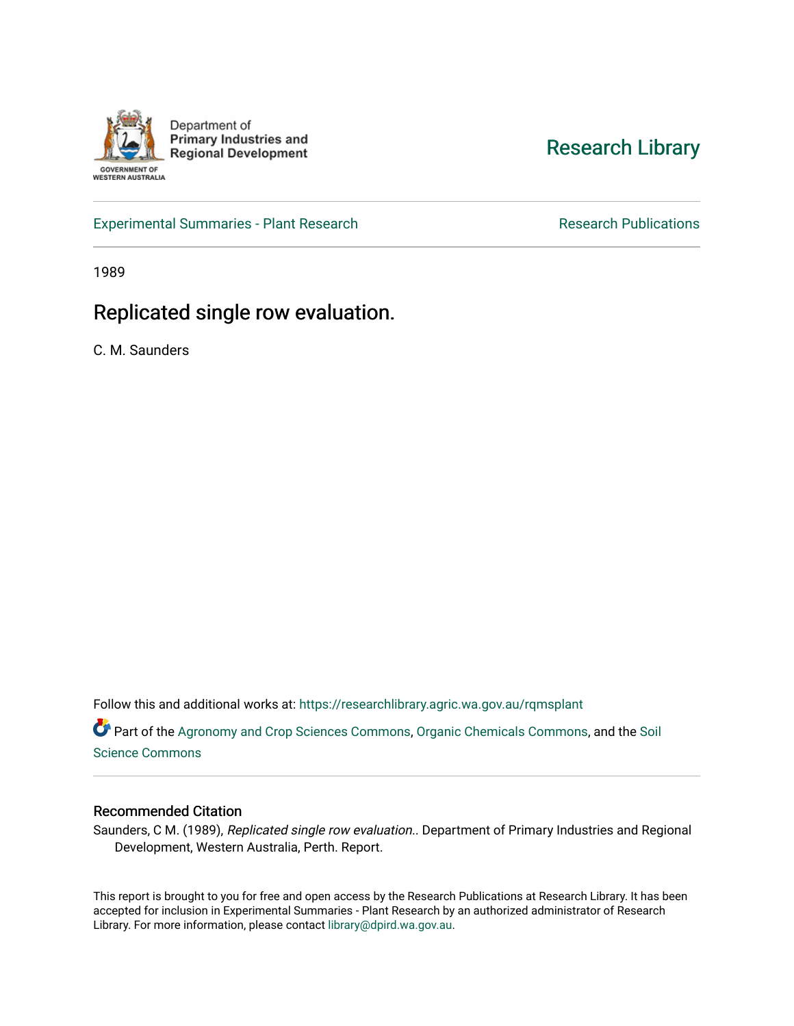

[Research Library](https://researchlibrary.agric.wa.gov.au/) 

[Experimental Summaries - Plant Research](https://researchlibrary.agric.wa.gov.au/rqmsplant) **Research Research Rublications** Research Publications

1989

## Replicated single row evaluation.

C. M. Saunders

Follow this and additional works at: [https://researchlibrary.agric.wa.gov.au/rqmsplant](https://researchlibrary.agric.wa.gov.au/rqmsplant?utm_source=researchlibrary.agric.wa.gov.au%2Frqmsplant%2F674&utm_medium=PDF&utm_campaign=PDFCoverPages) 

Part of the [Agronomy and Crop Sciences Commons,](http://network.bepress.com/hgg/discipline/103?utm_source=researchlibrary.agric.wa.gov.au%2Frqmsplant%2F674&utm_medium=PDF&utm_campaign=PDFCoverPages) [Organic Chemicals Commons,](http://network.bepress.com/hgg/discipline/955?utm_source=researchlibrary.agric.wa.gov.au%2Frqmsplant%2F674&utm_medium=PDF&utm_campaign=PDFCoverPages) and the [Soil](http://network.bepress.com/hgg/discipline/163?utm_source=researchlibrary.agric.wa.gov.au%2Frqmsplant%2F674&utm_medium=PDF&utm_campaign=PDFCoverPages) [Science Commons](http://network.bepress.com/hgg/discipline/163?utm_source=researchlibrary.agric.wa.gov.au%2Frqmsplant%2F674&utm_medium=PDF&utm_campaign=PDFCoverPages) 

## Recommended Citation

Saunders, C M. (1989), Replicated single row evaluation.. Department of Primary Industries and Regional Development, Western Australia, Perth. Report.

This report is brought to you for free and open access by the Research Publications at Research Library. It has been accepted for inclusion in Experimental Summaries - Plant Research by an authorized administrator of Research Library. For more information, please contact [library@dpird.wa.gov.au.](mailto:library@dpird.wa.gov.au)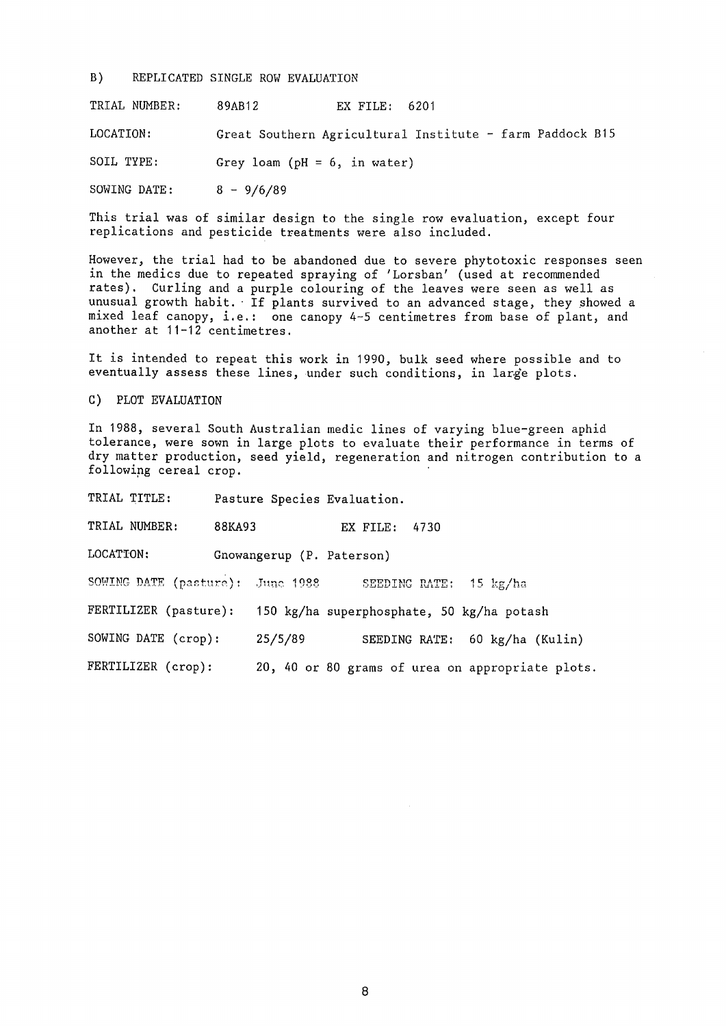B) REPLICATED SINGLE ROW EVALUATION

TRIAL NUMBER: 89AB12 EX FILE: 6201

LOCATION: Great Southern Agricultural Institute - farm Paddock B15

SOIL TYPE: Grey loam (pH = 6, in water)

SOWING DATE:  $-9/6/$ 

This trial was of similar design to the single row evaluation, except four replications and pesticide treatments were also included.

However, the trial had to be abandoned due to severe phytotoxic responses seen in the medics due to repeated spraying of 'Lorsban' (used at recommended rates). Curling and a purple colouring of the leaves were seen as well as unusual growth habit. If plants survived to an advanced stage, they showed a mixed leaf canopy, i.e.: one canopy 4-5 centimetres from base of plant, and another at 11-12 centimetres.

It is intended to repeat this work in 1990, bulk seed where possible and to eventually assess these lines, under such conditions, in large plots.

C) PLOT EVALUATION

In 1988, several South Australian medic lines of varying blue-green aphid tolerance, were sown in large plots to evaluate their performance in terms of dry matter production, seed yield, regeneration and nitrogen contribution to a following cereal crop.

TRIAL TITLE: Pasture Species Evaluation. TRIAL NUMBER: 88KA93 EX FILE: 4730 LOCATION: Gnowangerup (P. Paterson) SOWING DATE (pasture): June 1988 SEEDING RATE: 15 kg/ha FERTILIZER (pasture): 150 kg/ha superphosphate, 50 kg/ha potash SOWING DATE (crop): 25/5/89 SEEDING RATE: 60 kg/ha (Kulin) FERTILIZER (crop): 20, 40 or 80 grams of urea on appropriate plots.

8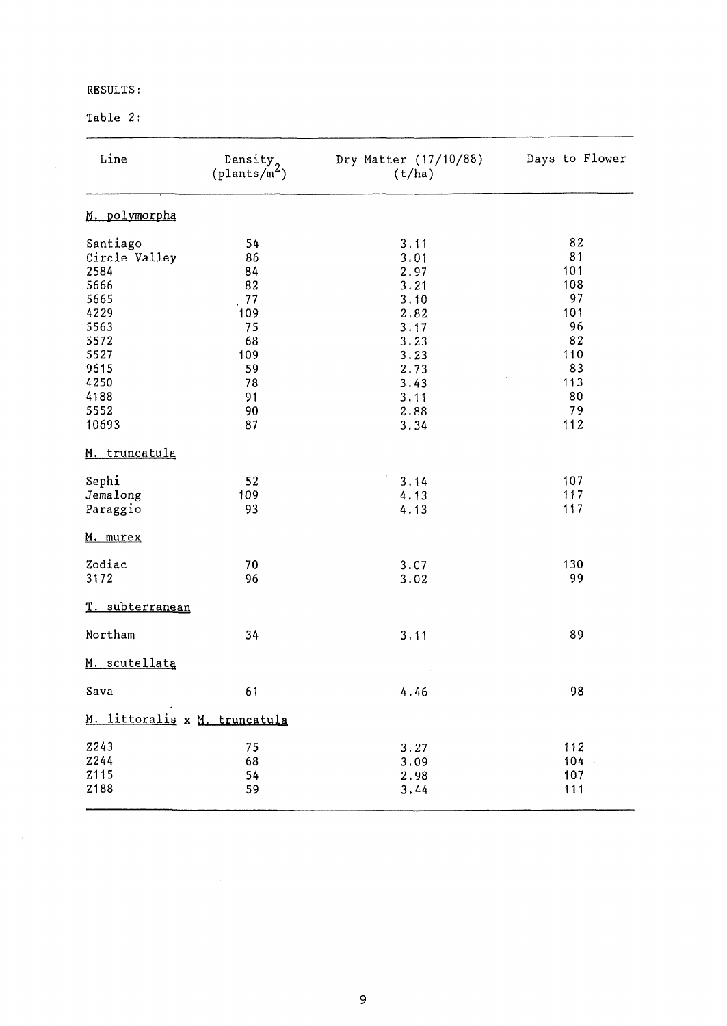## RESULTS:

## Table 2:

| Line                          | Density <sub>o</sub><br>$(\text{plants/m}^2)$ | Dry Matter (17/10/88)<br>(t/ha) | Days to Flower |
|-------------------------------|-----------------------------------------------|---------------------------------|----------------|
| M. polymorpha                 |                                               |                                 |                |
| Santiago                      | 54                                            | 3.11                            | 82             |
| Circle Valley                 | 86                                            | 3.01                            | 81             |
| 2584                          | 84                                            | 2.97                            | 101            |
| 5666                          | 82                                            | 3.21                            | 108            |
| 5665                          | 77                                            | 3.10                            | 97             |
| 4229                          | 109                                           | 2.82                            | 101            |
| 5563                          | 75                                            | 3.17                            | 96             |
| 5572                          | 68                                            | 3.23                            | 82             |
| 5527                          | 109                                           | 3.23                            | 110            |
| 9615                          | 59                                            | 2.73                            | 83             |
| 4250                          | 78                                            | 3.43                            | 113            |
| 4188                          | 91                                            | 3.11                            | 80             |
| 5552                          | 90                                            | 2.88                            | 79             |
| 10693                         | 87                                            | 3.34                            | 112            |
| M. truncatula                 |                                               |                                 |                |
| Sephi                         | 52                                            | 3.14                            | 107            |
| Jemalong                      | 109                                           | 4.13                            | 117            |
| Paraggio                      | 93                                            | 4.13                            | 117            |
| M. murex                      |                                               |                                 |                |
| Zodiac                        | 70                                            | 3.07                            | 130            |
| 3172                          | 96                                            | 3.02                            | 99             |
| T. subterranean               |                                               |                                 |                |
| Northam                       | 34                                            | 3.11                            | 89             |
| M. scutellata                 |                                               |                                 |                |
| $\texttt{Sava}$               | 61                                            | 4.46                            | 98             |
| M. littoralis x M. truncatula |                                               |                                 |                |
| <b>Z243</b>                   | 75                                            | 3.27                            | 112            |
| <b>Z244</b>                   | 68                                            | 3.09                            | 104            |
| Z115                          | 54                                            | 2.98                            | 107            |
| Z188                          | 59                                            | 3.44                            | 111            |
|                               |                                               |                                 |                |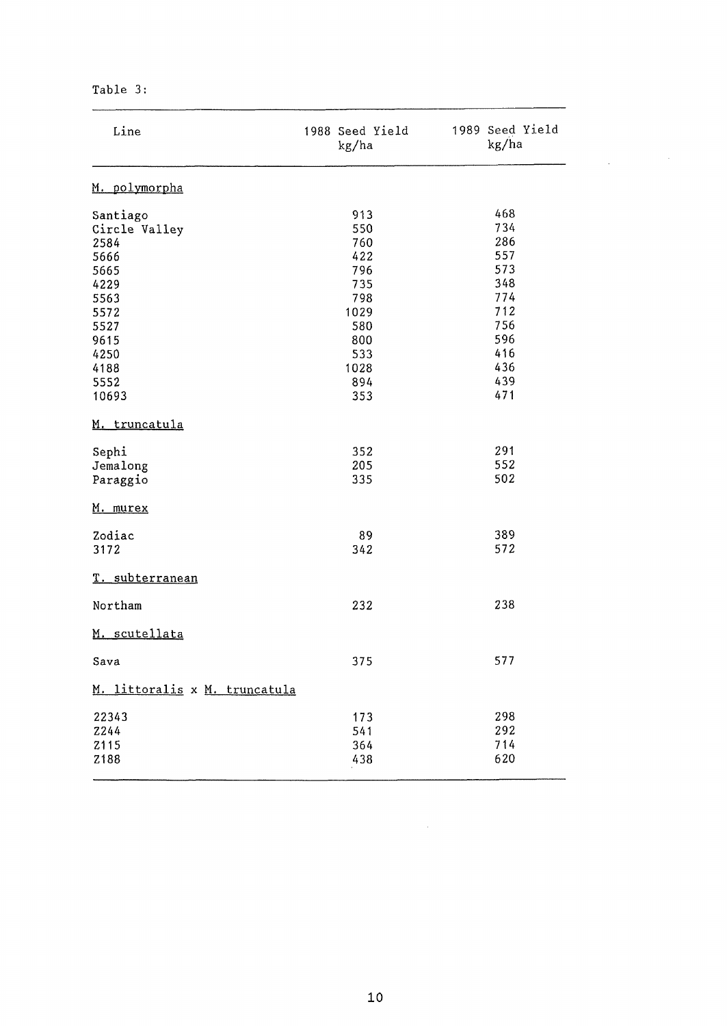Table 3:

| Line                                                                                                      | 1988 Seed Yield<br>kg/ha                                                           | 1989 Seed Yield<br>kg/ha                                                         |
|-----------------------------------------------------------------------------------------------------------|------------------------------------------------------------------------------------|----------------------------------------------------------------------------------|
| M. polymorpha                                                                                             |                                                                                    |                                                                                  |
| Santiago<br>Circle Valley<br>2584<br>5666<br>5665<br>4229<br>5563<br>5572<br>5527<br>9615<br>4250<br>4188 | 913<br>550<br>760<br>422<br>796<br>735<br>798<br>1029<br>580<br>800<br>533<br>1028 | 468<br>734<br>286<br>557<br>573<br>348<br>774<br>712<br>756<br>596<br>416<br>436 |
| 5552<br>10693                                                                                             | 894<br>353                                                                         | 439<br>471                                                                       |
| M. truncatula                                                                                             |                                                                                    |                                                                                  |
| Sephi<br>Jemalong<br>Paraggio                                                                             | 352<br>205<br>335                                                                  | 291<br>552<br>502                                                                |
| M. murex                                                                                                  |                                                                                    |                                                                                  |
| Zodiac<br>3172                                                                                            | 89<br>342                                                                          | 389<br>572                                                                       |
| T. subterranean                                                                                           |                                                                                    |                                                                                  |
| Northam                                                                                                   | 232                                                                                | 238                                                                              |
| M. scutellata                                                                                             |                                                                                    |                                                                                  |
| Sava                                                                                                      | 375                                                                                | 577                                                                              |
| M. littoralis x M. truncatula                                                                             |                                                                                    |                                                                                  |
| 22343<br>2244<br>Z115<br>Z188                                                                             | 173<br>541<br>364<br>438                                                           | 298<br>292<br>714<br>620                                                         |

 $\label{eq:2.1} \frac{1}{2} \int_{\mathbb{R}^3} \left| \frac{d\mu}{\mu} \right|^2 \, d\mu = \frac{1}{2} \int_{\mathbb{R}^3} \frac{d\mu}{\mu} \, d\mu$ 

 $\mathcal{L}^{\text{max}}_{\text{max}}$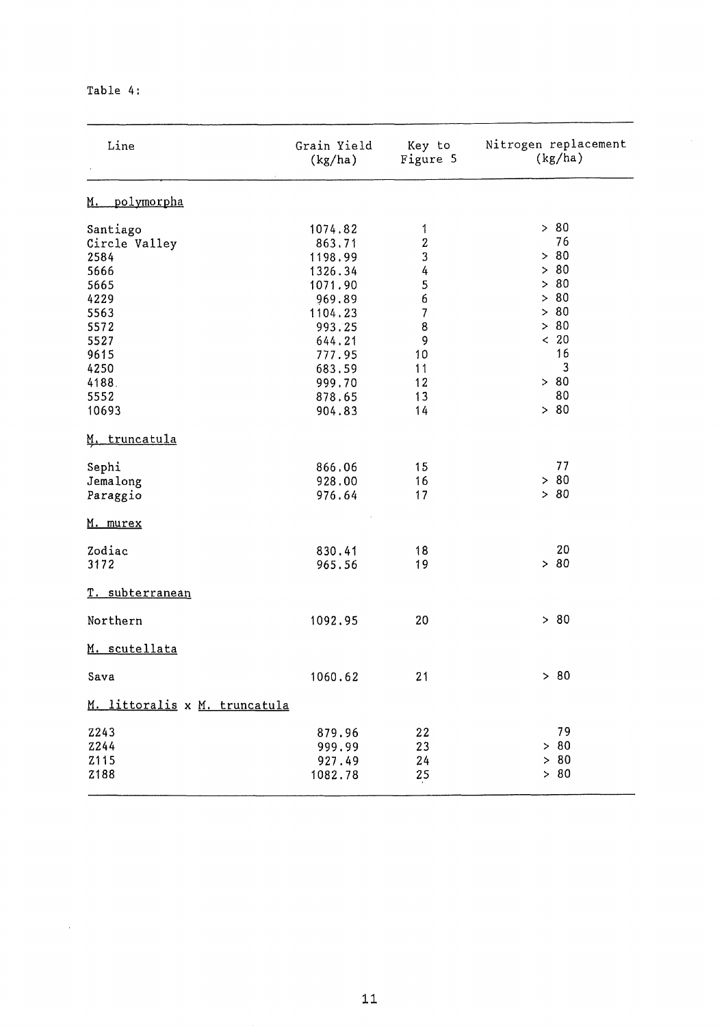| Table | 4 : |  |
|-------|-----|--|
|-------|-----|--|

| Line                           | Grain Yield<br>(kg/ha) | Key to<br>Figure 5       | Nitrogen replacement<br>(kg/ha) |
|--------------------------------|------------------------|--------------------------|---------------------------------|
| <u>polymorpha</u><br><u>M.</u> |                        |                          |                                 |
| Santiago                       | 1074.82                | 1                        | > 80                            |
| Circle Valley                  | 863,71                 | $\boldsymbol{2}$         | 76                              |
| 2584                           | 1198.99                | 3                        | > 80                            |
| 5666                           | 1326.34                | 4                        | > 80                            |
| 5665                           | 1071.90                | 5                        | > 80                            |
| 4229                           | 969.89                 | 6                        | > 80                            |
| 5563                           | 1104.23                | $\overline{\mathcal{L}}$ | > 80                            |
| 5572                           | 993.25                 | 8                        | > 80                            |
| 5527                           | 644.21                 | 9                        | < 20<br>16                      |
| 9615                           | 777.95                 | 10                       | 3                               |
| 4250                           | 683.59                 | 11<br>12                 | > 80                            |
| 4188.<br>5552                  | 999.70                 | 13                       | 80                              |
| 10693                          | 878.65<br>904.83       | 14                       | > 80                            |
|                                |                        |                          |                                 |
| M. truncatula                  |                        |                          |                                 |
| Sephi                          | 866.06                 | 15                       | 77                              |
| Jemalong                       | 928.00                 | 16                       | > 80                            |
| Paraggio                       | 976.64                 | 17                       | > 80                            |
| <u>M. murex</u>                |                        |                          |                                 |
| Zodiac                         | 830.41                 | 18                       | 20                              |
| 3172                           | 965.56                 | 19                       | > 80                            |
| <u>T. subterranean</u>         |                        |                          |                                 |
| Northern                       | 1092.95                | 20                       | > 80                            |
| M. scutellata                  |                        |                          |                                 |
| Sava                           | 1060.62                | 21                       | > 80                            |
| M. littoralis x M. truncatula  |                        |                          |                                 |
| <b>Z243</b>                    | 879.96                 | 22                       | 79                              |
| Z244                           | 999.99                 | 23                       | > 80                            |
| Z115                           | 927.49                 | 24                       | > 80                            |
| Z188                           | 1082.78                | 25                       | > 80                            |
|                                |                        |                          |                                 |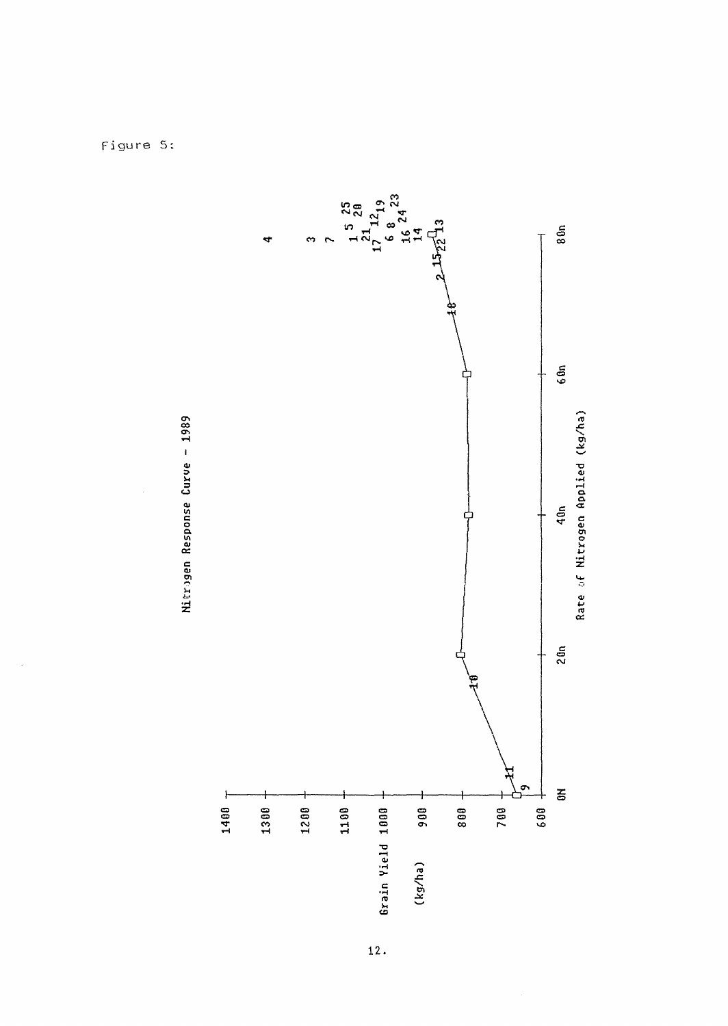

![](_page_5_Figure_1.jpeg)

Figure 5: